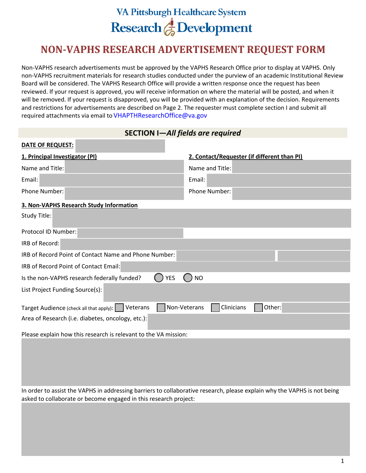# **VA Pittsburgh Healthcare System** Research & Development

# **NON-VAPHS RESEARCH ADVERTISEMENT REQUEST FORM**

Non-VAPHS research advertisements must be approved by the VAPHS Research Office prior to display at VAPHS. Only non-VAPHS recruitment materials for research studies conducted under the purview of an academic Institutional Review Board will be considered. The VAPHS Research Office will provide a written response once the request has been reviewed. If your request is approved, you will receive information on where the material will be posted, and when it will be removed. If your request is disapproved, you will be provided with an explanation of the decision. Requirements and restrictions for advertisements are described on Page 2. The requester must complete section I and submit all required attachments via email to VHAPTHResearchOffice@va.gov

| SECTION I-All fields are required                                          |                                             |  |
|----------------------------------------------------------------------------|---------------------------------------------|--|
| DATE OF REQUEST:                                                           |                                             |  |
| 1. Principal Investigator (PI)                                             | 2. Contact/Requester (if different than PI) |  |
| Name and Title:                                                            | Name and Title:                             |  |
| Email:                                                                     | Email:                                      |  |
| <b>Phone Number:</b>                                                       | Phone Number:                               |  |
| 3. Non-VAPHS Research Study Information                                    |                                             |  |
| Study Title:                                                               |                                             |  |
| Protocol ID Number:                                                        |                                             |  |
| IRB of Record:                                                             |                                             |  |
| IRB of Record Point of Contact Name and Phone Number:                      |                                             |  |
| <b>IRB of Record Point of Contact Email:</b>                               |                                             |  |
| <b>YES</b><br>Is the non-VAPHS research federally funded?                  | <b>NO</b>                                   |  |
| List Project Funding Source(s):                                            |                                             |  |
| Non-Veterans<br><b>Veterans</b><br>Target Audience (check all that apply): | Clinicians<br>Other:                        |  |
| Area of Research (i.e. diabetes, oncology, etc.):                          |                                             |  |
| Please explain how this research is relevant to the VA mission:            |                                             |  |

In order to assist the VAPHS in addressing barriers to collaborative research, please explain why the VAPHS is not being asked to collaborate or become engaged in this research project: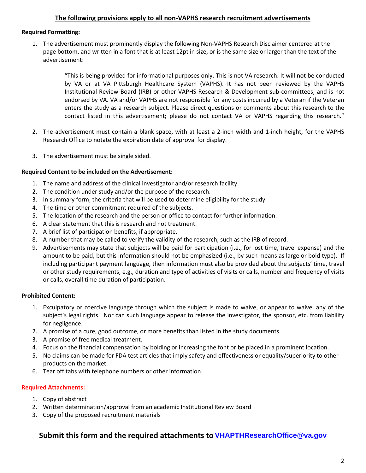#### **The following provisions apply to all non-VAPHS research recruitment advertisements**

#### **Required Formatting:**

1. The advertisement must prominently display the following Non-VAPHS Research Disclaimer centered at the page bottom, and written in a font that is at least 12pt in size, or is the same size or larger than the text of the advertisement:

> "This is being provided for informational purposes only. This is not VA research. It will not be conducted by VA or at VA Pittsburgh Healthcare System (VAPHS). It has not been reviewed by the VAPHS Institutional Review Board (IRB) or other VAPHS Research & Development sub-committees, and is not endorsed by VA. VA and/or VAPHS are not responsible for any costs incurred by a Veteran if the Veteran enters the study as a research subject. Please direct questions or comments about this research to the contact listed in this advertisement; please do not contact VA or VAPHS regarding this research."

- 2. The advertisement must contain a blank space, with at least a 2-inch width and 1-inch height, for the VAPHS Research Office to notate the expiration date of approval for display.
- 3. The advertisement must be single sided.

#### **Required Content to be included on the Advertisement:**

- 1. The name and address of the clinical investigator and/or research facility.
- 2. The condition under study and/or the purpose of the research.
- 3. In summary form, the criteria that will be used to determine eligibility for the study.
- 4. The time or other commitment required of the subjects.
- 5. The location of the research and the person or office to contact for further information.
- 6. A clear statement that this is research and not treatment.
- 7. A brief list of participation benefits, if appropriate.
- 8. A number that may be called to verify the validity of the research, such as the IRB of record.
- 9. Advertisements may state that subjects will be paid for participation (i.e., for lost time, travel expense) and the amount to be paid, but this information should not be emphasized (i.e., by such means as large or bold type). If including participant payment language, then information must also be provided about the subjects' time, travel or other study requirements, e.g., duration and type of activities of visits or calls, number and frequency of visits or calls, overall time duration of participation.

#### **Prohibited Content:**

- 1. Exculpatory or coercive language through which the subject is made to waive, or appear to waive, any of the subject's legal rights. Nor can such language appear to release the investigator, the sponsor, etc. from liability for negligence.
- 2. A promise of a cure, good outcome, or more benefits than listed in the study documents.
- 3. A promise of free medical treatment.
- 4. Focus on the financial compensation by bolding or increasing the font or be placed in a prominent location.
- 5. No claims can be made for FDA test articles that imply safety and effectiveness or equality/superiority to other products on the market.
- 6. Tear off tabs with telephone numbers or other information.

#### **Required Attachments:**

- 1. Copy of abstract
- 2. Written determination/approval from an academic Institutional Review Board
- 3. Copy of the proposed recruitment materials

### **Submit this form and the required attachments to VHAPTHResearchOffice@va.gov**